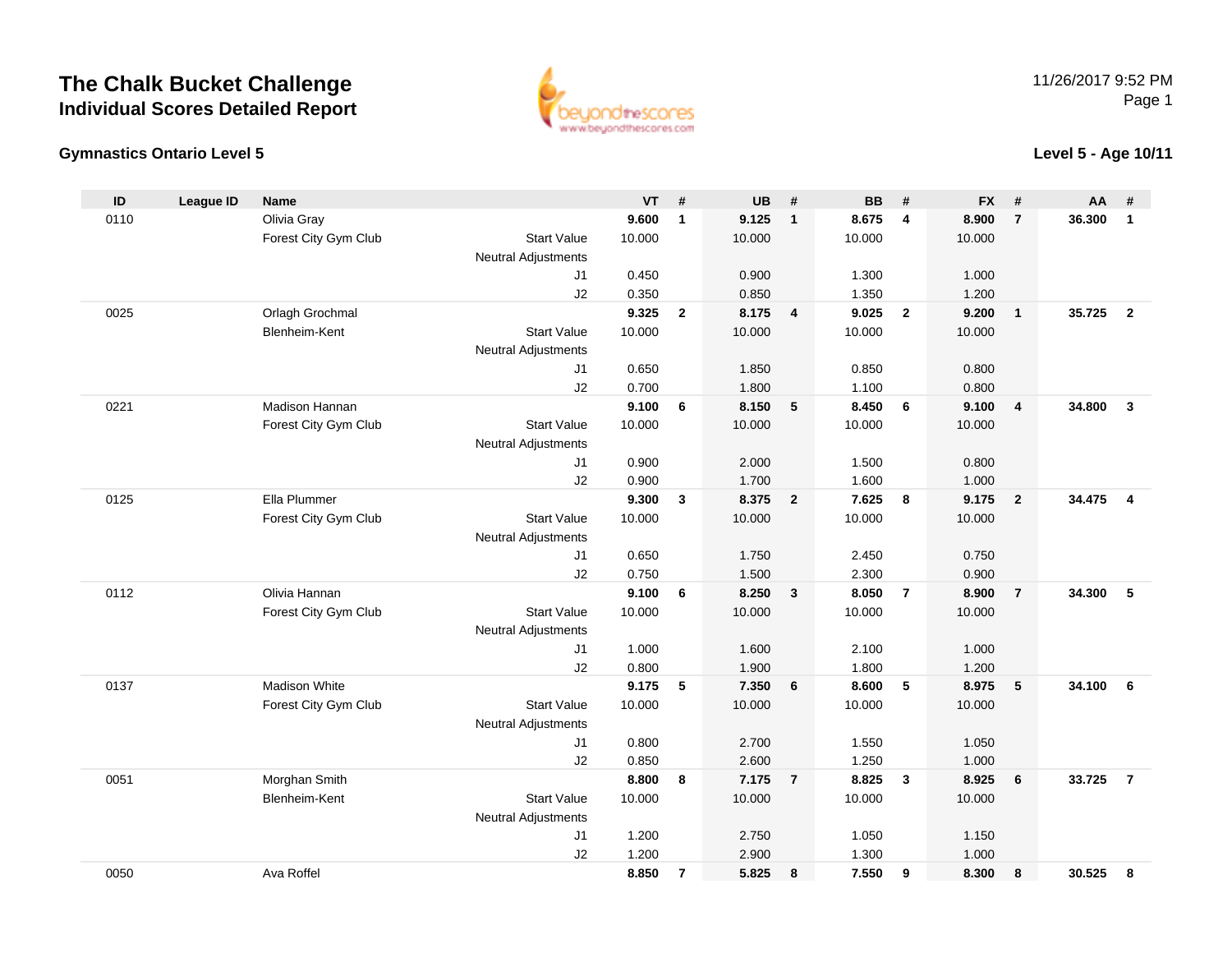# **The Chalk Bucket ChallengeIndividual Scores Detailed Report**



### **Gymnastics Ontario Level 5**

**Level 5 - Age 10/11**

| $\mathsf{ID}$ | <b>League ID</b> | Name                 |                            | VT     | #              | UB     | #                       | <b>BB</b> | #                       | <b>FX</b> | #                       | AA     | #                       |
|---------------|------------------|----------------------|----------------------------|--------|----------------|--------|-------------------------|-----------|-------------------------|-----------|-------------------------|--------|-------------------------|
| 0110          |                  | Olivia Gray          |                            | 9.600  | $\mathbf{1}$   | 9.125  | $\overline{\mathbf{1}}$ | 8.675     | 4                       | 8.900     | $\overline{7}$          | 36.300 | $\mathbf{1}$            |
|               |                  | Forest City Gym Club | <b>Start Value</b>         | 10.000 |                | 10.000 |                         | 10.000    |                         | 10.000    |                         |        |                         |
|               |                  |                      | <b>Neutral Adjustments</b> |        |                |        |                         |           |                         |           |                         |        |                         |
|               |                  |                      | J1                         | 0.450  |                | 0.900  |                         | 1.300     |                         | 1.000     |                         |        |                         |
|               |                  |                      | J2                         | 0.350  |                | 0.850  |                         | 1.350     |                         | 1.200     |                         |        |                         |
| 0025          |                  | Orlagh Grochmal      |                            | 9.325  | $\overline{2}$ | 8.175  | $\overline{\mathbf{4}}$ | 9.025     | $\overline{2}$          | 9.200     | $\overline{\mathbf{1}}$ | 35.725 | $\overline{2}$          |
|               |                  | Blenheim-Kent        | <b>Start Value</b>         | 10.000 |                | 10.000 |                         | 10.000    |                         | 10.000    |                         |        |                         |
|               |                  |                      | <b>Neutral Adjustments</b> |        |                |        |                         |           |                         |           |                         |        |                         |
|               |                  |                      | J1                         | 0.650  |                | 1.850  |                         | 0.850     |                         | 0.800     |                         |        |                         |
|               |                  |                      | J2                         | 0.700  |                | 1.800  |                         | 1.100     |                         | 0.800     |                         |        |                         |
| 0221          |                  | Madison Hannan       |                            | 9.100  | 6              | 8.150  | 5                       | 8.450     | 6                       | 9.100     | $\overline{4}$          | 34.800 | $\overline{3}$          |
|               |                  | Forest City Gym Club | <b>Start Value</b>         | 10.000 |                | 10.000 |                         | 10.000    |                         | 10.000    |                         |        |                         |
|               |                  |                      | <b>Neutral Adjustments</b> |        |                |        |                         |           |                         |           |                         |        |                         |
|               |                  |                      | J1                         | 0.900  |                | 2.000  |                         | 1.500     |                         | 0.800     |                         |        |                         |
|               |                  |                      | J2                         | 0.900  |                | 1.700  |                         | 1.600     |                         | 1.000     |                         |        |                         |
| 0125          |                  | Ella Plummer         |                            | 9.300  | $\mathbf{3}$   | 8.375  | $\overline{2}$          | 7.625     | 8                       | 9.175     | $\overline{2}$          | 34.475 | $\overline{\mathbf{4}}$ |
|               |                  | Forest City Gym Club | <b>Start Value</b>         | 10.000 |                | 10.000 |                         | 10.000    |                         | 10.000    |                         |        |                         |
|               |                  |                      | Neutral Adjustments        |        |                |        |                         |           |                         |           |                         |        |                         |
|               |                  |                      | J1                         | 0.650  |                | 1.750  |                         | 2.450     |                         | 0.750     |                         |        |                         |
|               |                  |                      | J2                         | 0.750  |                | 1.500  |                         | 2.300     |                         | 0.900     |                         |        |                         |
| 0112          |                  | Olivia Hannan        |                            | 9.100  | 6              | 8.250  | $\mathbf{3}$            | 8.050     | $\overline{7}$          | 8.900     | $\overline{7}$          | 34.300 | 5                       |
|               |                  | Forest City Gym Club | <b>Start Value</b>         | 10.000 |                | 10.000 |                         | 10.000    |                         | 10.000    |                         |        |                         |
|               |                  |                      | Neutral Adjustments        |        |                |        |                         |           |                         |           |                         |        |                         |
|               |                  |                      | J1                         | 1.000  |                | 1.600  |                         | 2.100     |                         | 1.000     |                         |        |                         |
|               |                  |                      | J2                         | 0.800  |                | 1.900  |                         | 1.800     |                         | 1.200     |                         |        |                         |
| 0137          |                  | Madison White        |                            | 9.175  | 5              | 7.350  | 6                       | 8.600     | $-5$                    | 8.975     | $5\phantom{.0}$         | 34.100 | 6                       |
|               |                  | Forest City Gym Club | <b>Start Value</b>         | 10.000 |                | 10.000 |                         | 10.000    |                         | 10.000    |                         |        |                         |
|               |                  |                      | Neutral Adjustments        |        |                |        |                         |           |                         |           |                         |        |                         |
|               |                  |                      | J1                         | 0.800  |                | 2.700  |                         | 1.550     |                         | 1.050     |                         |        |                         |
|               |                  |                      | J2                         | 0.850  |                | 2.600  |                         | 1.250     |                         | 1.000     |                         |        |                         |
| 0051          |                  | Morghan Smith        |                            | 8.800  | 8              | 7.175  | $\overline{7}$          | 8.825     | $\overline{\mathbf{3}}$ | 8.925     | 6                       | 33.725 | $\overline{7}$          |
|               |                  | Blenheim-Kent        | <b>Start Value</b>         | 10.000 |                | 10.000 |                         | 10.000    |                         | 10.000    |                         |        |                         |
|               |                  |                      | <b>Neutral Adjustments</b> |        |                |        |                         |           |                         |           |                         |        |                         |
|               |                  |                      | J1                         | 1.200  |                | 2.750  |                         | 1.050     |                         | 1.150     |                         |        |                         |
|               |                  |                      | J2                         | 1.200  |                | 2.900  |                         | 1.300     |                         | 1.000     |                         |        |                         |
| 0050          |                  | Ava Roffel           |                            | 8.850  | $\overline{7}$ | 5.825  | 8                       | 7.550     | 9                       | 8.300     | 8                       | 30.525 | 8                       |
|               |                  |                      |                            |        |                |        |                         |           |                         |           |                         |        |                         |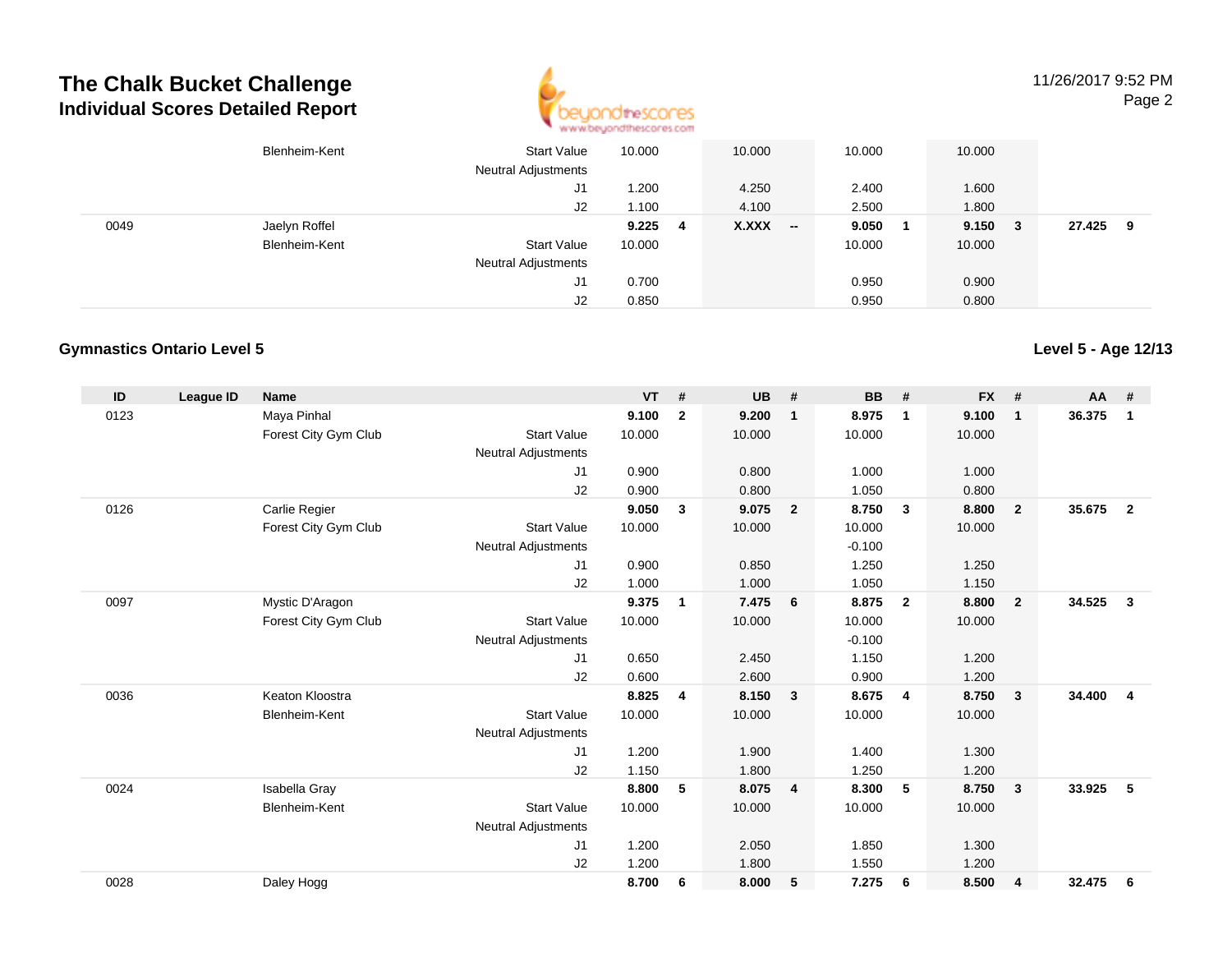## **The Chalk Bucket ChallengeIndividual Scores Detailed Report**



11/26/2017 9:52 PMPage 2

|      | Blenheim-Kent | <b>Start Value</b><br><b>Neutral Adjustments</b> | 10.000 |     | 10.000            | 10.000 |    | 10.000 |    |        |   |
|------|---------------|--------------------------------------------------|--------|-----|-------------------|--------|----|--------|----|--------|---|
|      |               | J1                                               | 1.200  |     | 4.250             | 2.400  |    | 1.600  |    |        |   |
|      |               | J2                                               | 1.100  |     | 4.100             | 2.500  |    | 1.800  |    |        |   |
| 0049 | Jaelyn Roffel |                                                  | 9.225  | - 4 | X.XXX<br>New York | 9.050  | -1 | 9.150  | -3 | 27.425 | 9 |
|      | Blenheim-Kent | <b>Start Value</b>                               | 10.000 |     |                   | 10.000 |    | 10.000 |    |        |   |
|      |               | <b>Neutral Adjustments</b>                       |        |     |                   |        |    |        |    |        |   |
|      |               | J1                                               | 0.700  |     |                   | 0.950  |    | 0.900  |    |        |   |
|      |               | J2                                               | 0.850  |     |                   | 0.950  |    | 0.800  |    |        |   |

#### **Gymnastics Ontario Level 5**

**ID League ID Name VT # UB # BB # FX # AA #** 0123 Maya Pinhal **9.100 <sup>2</sup> 9.200 <sup>1</sup> 8.975 <sup>1</sup> 9.100 <sup>1</sup> 36.375 <sup>1</sup>** Forest City Gym Club Start Value 10.000 10.000 10.000 10.000 Neutral Adjustments J1 0.900 0.800 1.000 1.000 J2 0.900 0.800 1.050 0.800 0126 Carlie Regier **9.050 <sup>3</sup> 9.075 <sup>2</sup> 8.750 <sup>3</sup> 8.800 <sup>2</sup> 35.675 <sup>2</sup>** Forest City Gym Club Start Value 10.000 10.000 10.000 10.000 Neutral Adjustments $-0.100$ 1.250 J1 0.900 0.850 1.250 1.250 J2 1.000 1.000 1.050 1.150 0097 Mystic D'Aragon **9.375 <sup>1</sup> 7.475 <sup>6</sup> 8.875 <sup>2</sup> 8.800 <sup>2</sup> 34.525 <sup>3</sup>** Forest City Gym Club Start Value 10.000 10.000 10.000 10.000 Neutral Adjustments $-0.100$ 1.150 J1 0.650 2.450 1.150 1.200 J2 0.600 2.600 0.900 1.200 0036 Keaton Kloostra **8.825 <sup>4</sup> 8.150 <sup>3</sup> 8.675 <sup>4</sup> 8.750 <sup>3</sup> 34.400 <sup>4</sup>** Blenheim-Kent Start Valuee 10.000 10.000 10.000 10.000 Neutral Adjustments J1 1.200 1.900 1.400 1.300 J2 1.150 1.800 1.250 1.200 0024 Isabella Gray **8.800 <sup>5</sup> 8.075 <sup>4</sup> 8.300 <sup>5</sup> 8.750 <sup>3</sup> 33.925 <sup>5</sup>** Blenheim-Kent Start Valuee 10.000 10.000 10.000 10.000 Neutral Adjustments J1 1.200 2.050 1.850 1.300 J2 1.200 1.800 1.550 1.200 0028Daley Hogg **8.700 <sup>6</sup> 8.000 <sup>5</sup> 7.275 <sup>6</sup> 8.500 <sup>4</sup> 32.475 <sup>6</sup>**

**Level 5 - Age 12/13**